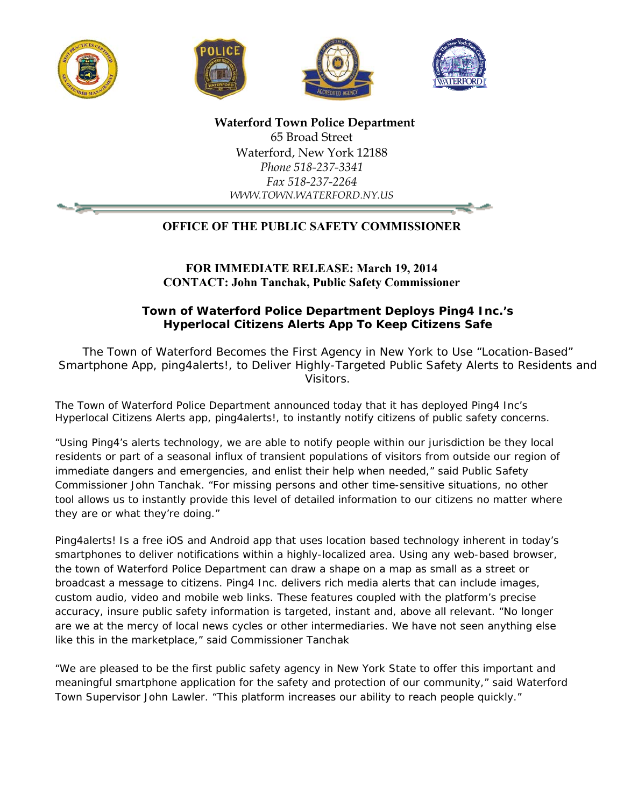







 **Waterford Town Police Department**  65 Broad Street Waterford, New York 12188 *Phone 518-237-3341 Fax 518-237-2264 WWW.TOWN.WATERFORD.NY.US*

## **OFFICE OF THE PUBLIC SAFETY COMMISSIONER**

**FOR IMMEDIATE RELEASE: March 19, 2014 CONTACT: John Tanchak, Public Safety Commissioner** 

**Town of Waterford Police Department Deploys Ping4 Inc.'s Hyperlocal Citizens Alerts App To Keep Citizens Safe** 

*The Town of Waterford Becomes the First Agency in New York to Use "Location-Based" Smartphone App, ping4alerts!, to Deliver Highly-Targeted Public Safety Alerts to Residents and Visitors.* 

The Town of Waterford Police Department announced today that it has deployed Ping4 Inc's Hyperlocal Citizens Alerts app, ping4alerts!, to instantly notify citizens of public safety concerns.

"Using Ping4's alerts technology, we are able to notify people within our jurisdiction be they local residents or part of a seasonal influx of transient populations of visitors from outside our region of immediate dangers and emergencies, and enlist their help when needed," said Public Safety Commissioner John Tanchak. "For missing persons and other time-sensitive situations, no other tool allows us to instantly provide this level of detailed information to our citizens no matter where they are or what they're doing."

Ping4alerts! Is a free iOS and Android app that uses location based technology inherent in today's smartphones to deliver notifications within a highly-localized area. Using any web-based browser, the town of Waterford Police Department can draw a shape on a map as small as a street or broadcast a message to citizens. Ping4 Inc. delivers rich media alerts that can include images, custom audio, video and mobile web links. These features coupled with the platform's precise accuracy, insure public safety information is targeted, instant and, above all relevant. "No longer are we at the mercy of local news cycles or other intermediaries. We have not seen anything else like this in the marketplace," said Commissioner Tanchak

"We are pleased to be the first public safety agency in New York State to offer this important and meaningful smartphone application for the safety and protection of our community," said Waterford Town Supervisor John Lawler. "This platform increases our ability to reach people quickly."